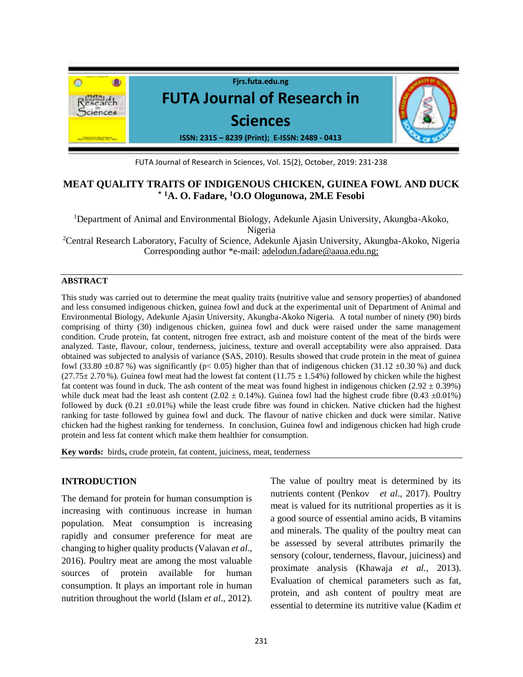

FUTA Journal of Research in Sciences, Vol. 15(2), October, 2019: 231-238

## **MEAT QUALITY TRAITS OF INDIGENOUS CHICKEN, GUINEA FOWL AND DUCK \* <sup>1</sup>A. O. Fadare, <sup>1</sup>O.O Ologunowa, 2M.E Fesobi**

<sup>1</sup>Department of Animal and Environmental Biology, Adekunle Ajasin University, Akungba-Akoko, Nigeria

<sup>2</sup>Central Research Laboratory, Faculty of Science, Adekunle Ajasin University, Akungba-Akoko, Nigeria Corresponding author \*e-mail: adelodun.fadare@aaua.edu.ng;

#### **ABSTRACT**

This study was carried out to determine the meat quality traits (nutritive value and sensory properties) of abandoned and less consumed indigenous chicken, guinea fowl and duck at the experimental unit of Department of Animal and Environmental Biology, Adekunle Ajasin University, Akungba-Akoko Nigeria. A total number of ninety (90) birds comprising of thirty (30) indigenous chicken, guinea fowl and duck were raised under the same management condition. Crude protein, fat content, nitrogen free extract, ash and moisture content of the meat of the birds were analyzed. Taste, flavour, colour, tenderness, juiciness, texture and overall acceptability were also appraised. Data obtained was subjected to analysis of variance (SAS, 2010). Results showed that crude protein in the meat of guinea fowl (33.80  $\pm$ 0.87 %) was significantly (p< 0.05) higher than that of indigenous chicken (31.12  $\pm$ 0.30 %) and duck  $(27.75 \pm 2.70 \%)$ . Guinea fowl meat had the lowest fat content  $(11.75 \pm 1.54\%)$  followed by chicken while the highest fat content was found in duck. The ash content of the meat was found highest in indigenous chicken (2.92  $\pm$  0.39%) while duck meat had the least ash content (2.02  $\pm$  0.14%). Guinea fowl had the highest crude fibre (0.43  $\pm$ 0.01%) followed by duck  $(0.21 \pm 0.01\%)$  while the least crude fibre was found in chicken. Native chicken had the highest ranking for taste followed by guinea fowl and duck. The flavour of native chicken and duck were similar. Native chicken had the highest ranking for tenderness. In conclusion, Guinea fowl and indigenous chicken had high crude protein and less fat content which make them healthier for consumption.

**Key words:** birds**,** crude protein, fat content, juiciness, meat, tenderness

## **INTRODUCTION**

The demand for protein for human consumption is increasing with continuous increase in human population. Meat consumption is increasing rapidly and consumer preference for meat are changing to higher quality products (Valavan *et al*., 2016). Poultry meat are among the most valuable sources of protein available for human consumption. It plays an important role in human nutrition throughout the world (Islam *et al*., 2012).

The value of poultry meat is determined by its nutrients content (Penkov *et al*., 2017). Poultry meat is valued for its nutritional properties as it is a good source of essential amino acids, B vitamins and minerals. The quality of the poultry meat can be assessed by several attributes primarily the sensory (colour, tenderness, flavour, juiciness) and proximate analysis (Khawaja *et al.,* 2013). Evaluation of chemical parameters such as fat, protein, and ash content of poultry meat are essential to determine its nutritive value (Kadim *et*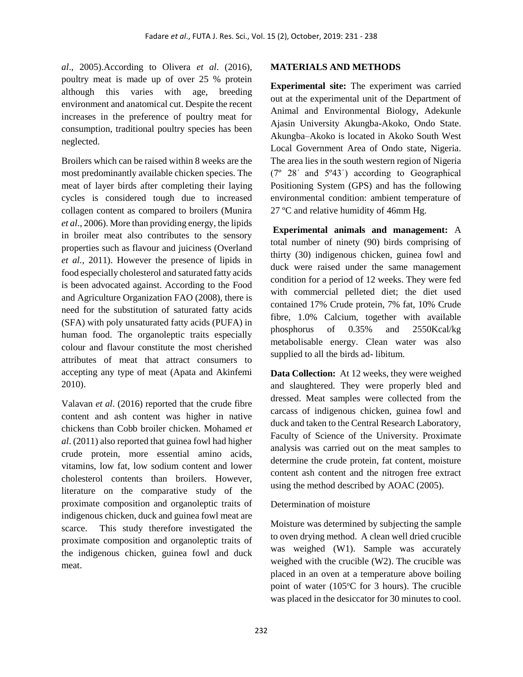*al*., 2005).According to Olivera *et al*. (2016), poultry meat is made up of over 25 % protein although this varies with age, breeding environment and anatomical cut. Despite the recent increases in the preference of poultry meat for consumption, traditional poultry species has been neglected.

Broilers which can be raised within 8 weeks are the most predominantly available chicken species. The meat of layer birds after completing their laying cycles is considered tough due to increased collagen content as compared to broilers (Munira *et al*., 2006). More than providing energy, the lipids in broiler meat also contributes to the sensory properties such as flavour and juiciness (Overland *et al.,* 2011). However the presence of lipids in food especially cholesterol and saturated fatty acids is been advocated against. According to the Food and Agriculture Organization FAO (2008), there is need for the substitution of saturated fatty acids (SFA) with poly unsaturated fatty acids (PUFA) in human food. The organoleptic traits especially colour and flavour constitute the most cherished attributes of meat that attract consumers to accepting any type of meat (Apata and Akinfemi 2010).

Valavan *et al*. (2016) reported that the crude fibre content and ash content was higher in native chickens than Cobb broiler chicken. Mohamed *et al*. (2011) also reported that guinea fowl had higher crude protein, more essential amino acids, vitamins, low fat, low sodium content and lower cholesterol contents than broilers. However, literature on the comparative study of the proximate composition and organoleptic traits of indigenous chicken, duck and guinea fowl meat are scarce. This study therefore investigated the proximate composition and organoleptic traits of the indigenous chicken, guinea fowl and duck meat.

## **MATERIALS AND METHODS**

**Experimental site:** The experiment was carried out at the experimental unit of the Department of Animal and Environmental Biology, Adekunle Ajasin University Akungba-Akoko, Ondo State. Akungba–Akoko is located in Akoko South West Local Government Area of Ondo state, Nigeria. The area lies in the south western region of Nigeria  $(7^{\circ}$  28' and  $5^{\circ}43'$ ) according to Geographical Positioning System (GPS) and has the following environmental condition: ambient temperature of 27 ºC and relative humidity of 46mm Hg.

**Experimental animals and management:** A total number of ninety (90) birds comprising of thirty (30) indigenous chicken, guinea fowl and duck were raised under the same management condition for a period of 12 weeks. They were fed with commercial pelleted diet; the diet used contained 17% Crude protein, 7% fat, 10% Crude fibre, 1.0% Calcium, together with available phosphorus of 0.35% and 2550Kcal/kg metabolisable energy. Clean water was also supplied to all the birds ad- libitum.

**Data Collection:** At 12 weeks, they were weighed and slaughtered. They were properly bled and dressed. Meat samples were collected from the carcass of indigenous chicken, guinea fowl and duck and taken to the Central Research Laboratory, Faculty of Science of the University. Proximate analysis was carried out on the meat samples to determine the crude protein, fat content, moisture content ash content and the nitrogen free extract using the method described by AOAC (2005).

## Determination of moisture

Moisture was determined by subjecting the sample to oven drying method. A clean well dried crucible was weighed (W1). Sample was accurately weighed with the crucible (W2). The crucible was placed in an oven at a temperature above boiling point of water ( $105^{\circ}$ C for 3 hours). The crucible was placed in the desiccator for 30 minutes to cool.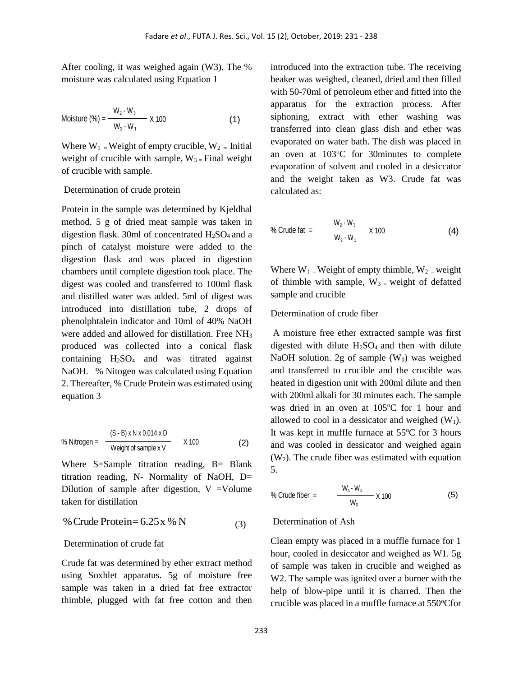After cooling, it was weighed again (W3). The % moisture was calculated using Equation 1

$$
Moisture (\%) = \frac{W_2 - W_3}{W_2 - W_1} \times 100
$$
 (1)

Where  $W_1$  = Weight of empty crucible,  $W_2$  = Initial weight of crucible with sample,  $W_{3}$  = Final weight of crucible with sample.

#### Determination of crude protein

Protein in the sample was determined by Kjeldhal method. 5 g of dried meat sample was taken in digestion flask. 30ml of concentrated  $H<sub>2</sub>SO<sub>4</sub>$  and a pinch of catalyst moisture were added to the digestion flask and was placed in digestion chambers until complete digestion took place. The digest was cooled and transferred to 100ml flask and distilled water was added. 5ml of digest was introduced into distillation tube, 2 drops of phenolphtalein indicator and 10ml of 40% NaOH were added and allowed for distillation. Free NH<sub>3</sub> produced was collected into a conical flask containing  $H_2SO_4$  and was titrated against NaOH. % Nitogen was calculated using Equation 2. Thereafter, % Crude Protein was estimated using equation 3

% Nitrogen = 
$$
\frac{(S - B) \times N \times 0.014 \times D}{Weight of sample x \times V} \times 100
$$
 (2)

Where S=Sample titration reading, B= Blank titration reading, N- Normality of NaOH, D= Dilution of sample after digestion,  $V = Volume$ taken for distillation

% Crude Protein= 
$$
6.25x
$$
 % N (3)

#### Determination of crude fat

Crude fat was determined by ether extract method using Soxhlet apparatus. 5g of moisture free sample was taken in a dried fat free extractor thimble, plugged with fat free cotton and then introduced into the extraction tube. The receiving beaker was weighed, cleaned, dried and then filled with 50-70ml of petroleum ether and fitted into the apparatus for the extraction process. After siphoning, extract with ether washing was transferred into clean glass dish and ether was evaporated on water bath. The dish was placed in an oven at 103°C for 30minutes to complete evaporation of solvent and cooled in a desiccator and the weight taken as W3. Crude fat was calculated as:

% Crude fat = 
$$
\frac{W_2 - W_3}{W_2 - W_1} \times 100
$$
 (4)

Where  $W_1$  = Weight of empty thimble,  $W_2$  = weight of thimble with sample,  $W_3$  = weight of defatted sample and crucible

#### Determination of crude fiber

A moisture free ether extracted sample was first digested with dilute  $H_2SO_4$  and then with dilute NaOH solution. 2g of sample  $(W_0)$  was weighed and transferred to crucible and the crucible was heated in digestion unit with 200ml dilute and then with 200ml alkali for 30 minutes each. The sample was dried in an oven at  $105^{\circ}$ C for 1 hour and allowed to cool in a dessicator and weighed  $(W_1)$ . It was kept in muffle furnace at  $55^{\circ}$ C for 3 hours and was cooled in dessicator and weighed again  $(W<sub>2</sub>)$ . The crude fiber was estimated with equation 5.

% Crude fiber = 
$$
\frac{W_1 \cdot W_2}{W_0} \times 100
$$
 (5)

## Determination of Ash

Clean empty was placed in a muffle furnace for 1 hour, cooled in desiccator and weighed as W1. 5g of sample was taken in crucible and weighed as W2. The sample was ignited over a burner with the help of blow-pipe until it is charred. Then the crucible was placed in a muffle furnace at 550°Cfor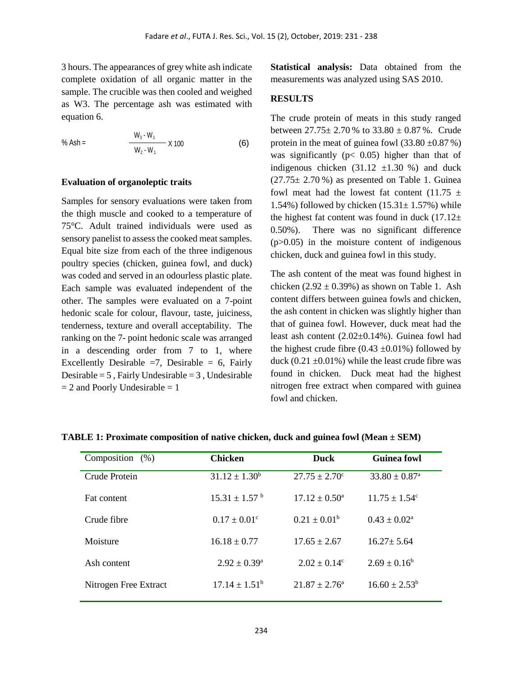3 hours. The appearances of grey white ash indicate complete oxidation of all organic matter in the sample. The crucible was then cooled and weighed as W3. The percentage ash was estimated with equation 6.

% Ash = 
$$
\frac{W_3 - W_1}{W_2 - W_1} \times 100
$$
 (6)

# **Evaluation of organoleptic traits**

Samples for sensory evaluations were taken from the thigh muscle and cooked to a temperature of 75°C. Adult trained individuals were used as sensory panelist to assess the cooked meat samples. Equal bite size from each of the three indigenous poultry species (chicken, guinea fowl, and duck) was coded and served in an odourless plastic plate. Each sample was evaluated independent of the other. The samples were evaluated on a 7-point hedonic scale for colour, flavour, taste, juiciness, tenderness, texture and overall acceptability. The ranking on the 7- point hedonic scale was arranged in a descending order from 7 to 1, where Excellently Desirable  $=7$ , Desirable  $= 6$ , Fairly Desirable  $= 5$ , Fairly Undesirable  $= 3$ , Undesirable  $= 2$  and Poorly Undesirable  $= 1$ 

**Statistical analysis:** Data obtained from the measurements was analyzed using SAS 2010.

#### **RESULTS**

The crude protein of meats in this study ranged between  $27.75 \pm 2.70$  % to  $33.80 \pm 0.87$  %. Crude protein in the meat of guinea fowl  $(33.80 \pm 0.87 \%)$ was significantly ( $p < 0.05$ ) higher than that of indigenous chicken  $(31.12 \pm 1.30 \%)$  and duck  $(27.75 \pm 2.70 \%)$  as presented on Table 1. Guinea fowl meat had the lowest fat content (11.75  $\pm$ 1.54%) followed by chicken  $(15.31 \pm 1.57%)$  while the highest fat content was found in duck  $(17.12 \pm$ 0.50%). There was no significant difference  $(p>0.05)$  in the moisture content of indigenous chicken, duck and guinea fowl in this study.

The ash content of the meat was found highest in chicken  $(2.92 \pm 0.39\%)$  as shown on Table 1. Ash content differs between guinea fowls and chicken, the ash content in chicken was slightly higher than that of guinea fowl. However, duck meat had the least ash content (2.02±0.14%). Guinea fowl had the highest crude fibre  $(0.43 \pm 0.01\%)$  followed by duck  $(0.21 \pm 0.01\%)$  while the least crude fibre was found in chicken. Duck meat had the highest nitrogen free extract when compared with guinea fowl and chicken.

| Composition $(\%)$    | <b>Chicken</b>                | <b>Duck</b>              | <b>Guinea fowl</b>            |
|-----------------------|-------------------------------|--------------------------|-------------------------------|
| Crude Protein         | $31.12 \pm 1.30^b$            | $27.75 \pm 2.70^{\circ}$ | $33.80 \pm 0.87$ <sup>a</sup> |
| Fat content           | $15.31 \pm 1.57$ <sup>b</sup> | $17.12 \pm 0.50^{\circ}$ | $11.75 \pm 1.54^{\circ}$      |
| Crude fibre           | $0.17 \pm 0.01^{\circ}$       | $0.21 \pm 0.01^b$        | $0.43 \pm 0.02^{\text{a}}$    |
| Moisture              | $16.18 \pm 0.77$              | $17.65 \pm 2.67$         | $16.27 \pm 5.64$              |
| Ash content           | $2.92 \pm 0.39^{\rm a}$       | $2.02 \pm 0.14^c$        | $2.69 \pm 0.16^b$             |
| Nitrogen Free Extract | $17.14 \pm 1.51^{\rm b}$      | $21.87 \pm 2.76^{\circ}$ | $16.60 \pm 2.53^b$            |

**TABLE 1: Proximate composition of native chicken, duck and guinea fowl (Mean ± SEM)**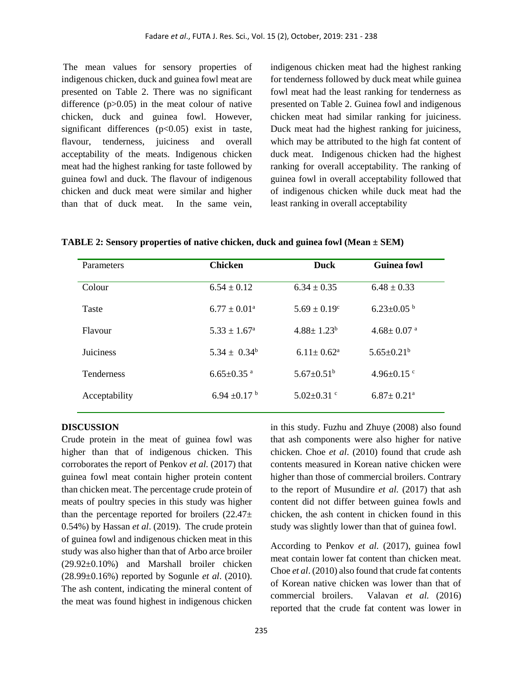The mean values for sensory properties of indigenous chicken, duck and guinea fowl meat are presented on Table 2. There was no significant difference  $(p>0.05)$  in the meat colour of native chicken, duck and guinea fowl. However, significant differences  $(p<0.05)$  exist in taste, flavour, tenderness, juiciness and overall acceptability of the meats. Indigenous chicken meat had the highest ranking for taste followed by guinea fowl and duck. The flavour of indigenous chicken and duck meat were similar and higher than that of duck meat. In the same vein,

indigenous chicken meat had the highest ranking for tenderness followed by duck meat while guinea fowl meat had the least ranking for tenderness as presented on Table 2. Guinea fowl and indigenous chicken meat had similar ranking for juiciness. Duck meat had the highest ranking for juiciness, which may be attributed to the high fat content of duck meat. Indigenous chicken had the highest ranking for overall acceptability. The ranking of guinea fowl in overall acceptability followed that of indigenous chicken while duck meat had the least ranking in overall acceptability

| Parameters        | <b>Chicken</b>               | <b>Duck</b>                | <b>Guinea fowl</b>           |
|-------------------|------------------------------|----------------------------|------------------------------|
| Colour            | $6.54 \pm 0.12$              | $6.34 \pm 0.35$            | $6.48 \pm 0.33$              |
| Taste             | $6.77 \pm 0.01^{\circ}$      | $5.69 \pm 0.19^c$          | $6.23 \pm 0.05^{b}$          |
| Flavour           | $5.33 \pm 1.67^{\circ}$      | $4.88 \pm 1.23^b$          | $4.68 \pm 0.07$ <sup>a</sup> |
| <b>Juiciness</b>  | $5.34 \pm 0.34^b$            | $6.11 \pm 0.62^{\text{a}}$ | $5.65 \pm 0.21^b$            |
| <b>Tenderness</b> | $6.65 \pm 0.35$ <sup>a</sup> | $5.67 \pm 0.51^{\rm b}$    | 4.96 $\pm$ 0.15 °            |
| Acceptability     | 6.94 $\pm$ 0.17 $^{\rm b}$   | $5.02 \pm 0.31$ °          | $6.87 \pm 0.21$ <sup>a</sup> |

#### **DISCUSSION**

Crude protein in the meat of guinea fowl was higher than that of indigenous chicken. This corroborates the report of Penkov *et al.* (2017) that guinea fowl meat contain higher protein content than chicken meat. The percentage crude protein of meats of poultry species in this study was higher than the percentage reported for broilers  $(22.47\pm$ 0.54%) by Hassan *et al*. (2019). The crude protein of guinea fowl and indigenous chicken meat in this study was also higher than that of Arbo arce broiler (29.92±0.10%) and Marshall broiler chicken (28.99±0.16%) reported by Sogunle *et al*. (2010). The ash content, indicating the mineral content of the meat was found highest in indigenous chicken in this study. Fuzhu and Zhuye (2008) also found that ash components were also higher for native chicken. Choe *et al*. (2010) found that crude ash contents measured in Korean native chicken were higher than those of commercial broilers. Contrary to the report of Musundire *et al*. (2017) that ash content did not differ between guinea fowls and chicken, the ash content in chicken found in this study was slightly lower than that of guinea fowl.

According to Penkov *et al.* (2017), guinea fowl meat contain lower fat content than chicken meat. Choe *et al*. (2010) also found that crude fat contents of Korean native chicken was lower than that of commercial broilers. Valavan *et al.* (2016) reported that the crude fat content was lower in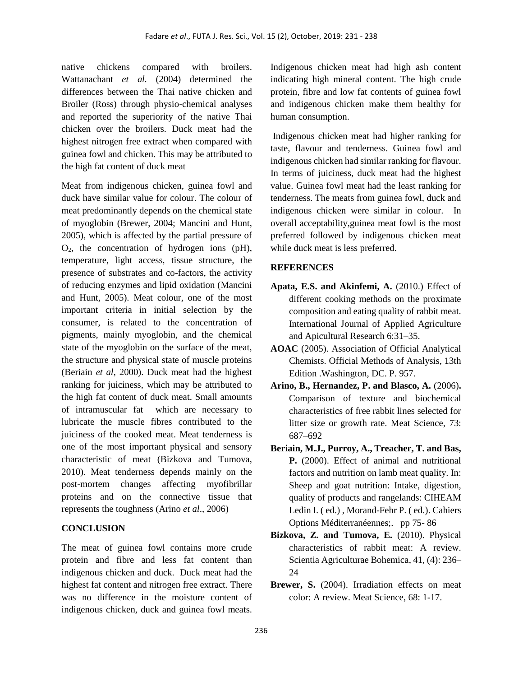native chickens compared with broilers. Wattanachant *et al.* (2004) determined the differences between the Thai native chicken and Broiler (Ross) through physio-chemical analyses and reported the superiority of the native Thai chicken over the broilers. Duck meat had the highest nitrogen free extract when compared with guinea fowl and chicken. This may be attributed to the high fat content of duck meat

Meat from indigenous chicken, guinea fowl and duck have similar value for colour. The colour of meat predominantly depends on the chemical state of myoglobin (Brewer, 2004; Mancini and Hunt, 2005), which is affected by the partial pressure of  $O<sub>2</sub>$ , the concentration of hydrogen ions (pH), temperature, light access, tissue structure, the presence of substrates and co-factors, the activity of reducing enzymes and lipid oxidation (Mancini and Hunt, 2005). Meat colour, one of the most important criteria in initial selection by the consumer, is related to the concentration of pigments, mainly myoglobin, and the chemical state of the myoglobin on the surface of the meat, the structure and physical state of muscle proteins (Beriain *et al,* 2000). Duck meat had the highest ranking for juiciness, which may be attributed to the high fat content of duck meat. Small amounts of intramuscular fat which are necessary to lubricate the muscle fibres contributed to the juiciness of the cooked meat. Meat tenderness is one of the most important physical and sensory characteristic of meat (Bizkova and Tumova, 2010). Meat tenderness depends mainly on the post-mortem changes affecting myofibrillar proteins and on the connective tissue that represents the toughness (Arino *et al*., 2006)

## **CONCLUSION**

The meat of guinea fowl contains more crude protein and fibre and less fat content than indigenous chicken and duck. Duck meat had the highest fat content and nitrogen free extract. There was no difference in the moisture content of indigenous chicken, duck and guinea fowl meats.

Indigenous chicken meat had high ash content indicating high mineral content. The high crude protein, fibre and low fat contents of guinea fowl and indigenous chicken make them healthy for human consumption.

Indigenous chicken meat had higher ranking for taste, flavour and tenderness. Guinea fowl and indigenous chicken had similar ranking for flavour. In terms of juiciness, duck meat had the highest value. Guinea fowl meat had the least ranking for tenderness. The meats from guinea fowl, duck and indigenous chicken were similar in colour. In overall acceptability,guinea meat fowl is the most preferred followed by indigenous chicken meat while duck meat is less preferred.

## **REFERENCES**

- Apata, E.S. and Akinfemi, A. (2010.) Effect of different cooking methods on the proximate composition and eating quality of rabbit meat. International Journal of Applied Agriculture and Apicultural Research 6:31–35.
- **AOAC** (2005). Association of Official Analytical Chemists. Official Methods of Analysis, 13th Edition .Washington, DC. P. 957.
- **Arino, B., Hernandez, P. and Blasco, A.** (2006)**.** Comparison of texture and biochemical characteristics of free rabbit lines selected for litter size or growth rate. Meat Science, 73: 687–692
- **Beriain, M.J., Purroy, A., Treacher, T. and Bas, P.** (2000). Effect of animal and nutritional factors and nutrition on lamb meat quality. In: Sheep and goat nutrition: Intake, digestion, quality of products and rangelands: CIHEAM Ledin I. ( ed.) , Morand-Fehr P. ( ed.). Cahiers Options Méditerranéennes;. pp 75- 86
- Bizkova, Z. and Tumova, E. (2010). Physical characteristics of rabbit meat: A review. Scientia Agriculturae Bohemica, 41, (4): 236– 24
- Brewer, S. (2004). Irradiation effects on meat color: A review. Meat Science, 68: 1-17.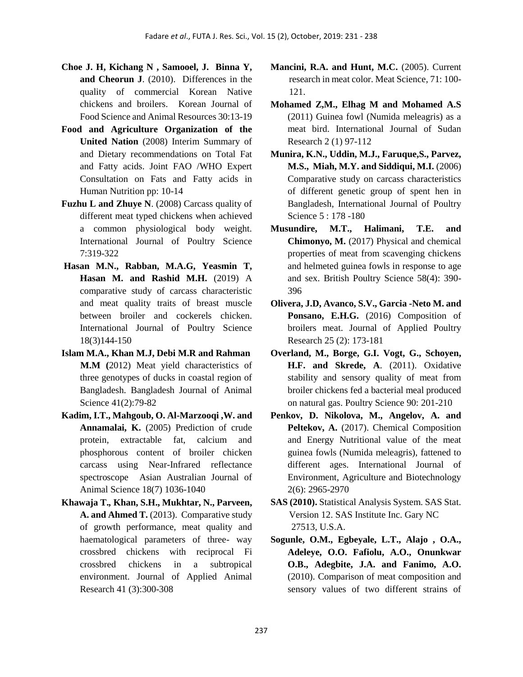- **Choe J. H, Kichang N , Samooel, J. Binna Y, and Cheorun J**. (2010). Differences in the quality of commercial Korean Native chickens and broilers. Korean Journal of Food Science and Animal Resources 30:13-19
- **Food and Agriculture Organization of the United Nation** (2008) Interim Summary of and Dietary recommendations on Total Fat and Fatty acids. Joint FAO /WHO Expert Consultation on Fats and Fatty acids in Human Nutrition pp: 10-14
- **Fuzhu L and Zhuye N**. (2008) Carcass quality of different meat typed chickens when achieved a common physiological body weight. International Journal of Poultry Science 7:319-322
- **Hasan M.N., Rabban, M.A.G, Yeasmin T, Hasan M. and Rashid M.H.** (2019) A comparative study of carcass characteristic and meat quality traits of breast muscle between broiler and cockerels chicken. International Journal of Poultry Science 18(3)144-150
- **Islam M.A., Khan M.J, Debi M.R and Rahman M.M (**2012) Meat yield characteristics of three genotypes of ducks in coastal region of Bangladesh. Bangladesh Journal of Animal Science 41(2):79-82
- **Kadim, I.T., Mahgoub, O. Al-Marzooqi ,W. and Annamalai, K.** (2005) Prediction of crude protein, extractable fat, calcium and phosphorous content of broiler chicken carcass using Near-Infrared reflectance spectroscope Asian Australian Journal of Animal Science 18(7) 1036-1040
- **Khawaja T.***,* **Khan, S.H., Mukhtar, N., Parveen,**  A. and Ahmed T. (2013). Comparative study of growth performance, meat quality and haematological parameters of three- way crossbred chickens with reciprocal Fi crossbred chickens in a subtropical environment. Journal of Applied Animal Research 41 (3):300-308
- **Mancini, R.A. and Hunt, M.C.** (2005). Current research in meat color. Meat Science, 71: 100- 121.
- **Mohamed Z,M., Elhag M and Mohamed A.S** (2011) Guinea fowl (Numida meleagris) as a meat bird. International Journal of Sudan Research 2 (1) 97-112
- **Munira, K.N., Uddin, M.J., Faruque,S., Parvez, M.S., Miah, M.Y. and Siddiqui, M.I.** (2006) Comparative study on carcass characteristics of different genetic group of spent hen in Bangladesh, International Journal of Poultry Science 5 : 178 -180
- **Musundire, M.T., Halimani, T.E. and Chimonyo, M.** (2017) Physical and chemical properties of meat from scavenging chickens and helmeted guinea fowls in response to age and sex. British Poultry Science 58(4): 390- 396
- **Olivera, J.D, Avanco, S.V., Garcia -Neto M. and**  Ponsano, E.H.G. (2016) Composition of broilers meat. Journal of Applied Poultry Research 25 (2): 173-181
- **Overland, M., Borge, G.I. Vogt, G., Schoyen, H.F. and Skrede, A**. (2011). Oxidative stability and sensory quality of meat from broiler chickens fed a bacterial meal produced on natural gas. Poultry Science 90: 201-210
- **Penkov, D. Nikolova, M., Angelov, A. and**  Peltekov, A. (2017). Chemical Composition and Energy Nutritional value of the meat guinea fowls (Numida meleagris), fattened to different ages. International Journal of Environment, Agriculture and Biotechnology 2(6): 2965-2970
- **SAS (2010).** Statistical Analysis System. SAS Stat. Version 12. SAS Institute Inc. Gary NC 27513, U.S.A.
- **Sogunle, O.M., Egbeyale, L.T., Alajo , O.A., Adeleye, O.O. Fafiolu, A.O., Onunkwar O.B., Adegbite, J.A. and Fanimo, A.O.**  (2010). Comparison of meat composition and sensory values of two different strains of